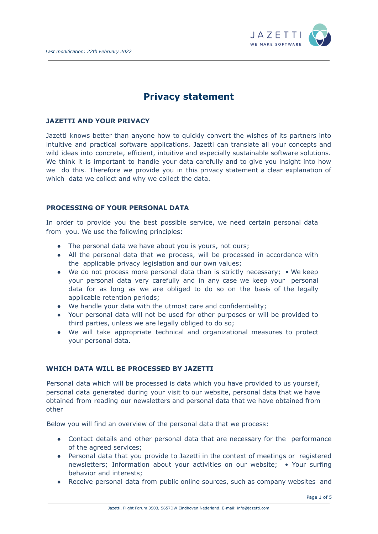

# **Privacy statement**

## **JAZETTI AND YOUR PRIVACY**

Jazetti knows better than anyone how to quickly convert the wishes of its partners into intuitive and practical software applications. Jazetti can translate all your concepts and wild ideas into concrete, efficient, intuitive and especially sustainable software solutions. We think it is important to handle your data carefully and to give you insight into how we do this. Therefore we provide you in this privacy statement a clear explanation of which data we collect and why we collect the data.

## **PROCESSING OF YOUR PERSONAL DATA**

In order to provide you the best possible service, we need certain personal data from you. We use the following principles:

- The personal data we have about you is yours, not ours;
- All the personal data that we process, will be processed in accordance with the applicable privacy legislation and our own values;
- We do not process more personal data than is strictly necessary; We keep your personal data very carefully and in any case we keep your personal data for as long as we are obliged to do so on the basis of the legally applicable retention periods;
- We handle your data with the utmost care and confidentiality;
- Your personal data will not be used for other purposes or will be provided to third parties, unless we are legally obliged to do so;
- We will take appropriate technical and organizational measures to protect your personal data.

# **WHICH DATA WILL BE PROCESSED BY JAZETTI**

Personal data which will be processed is data which you have provided to us yourself, personal data generated during your visit to our website, personal data that we have obtained from reading our newsletters and personal data that we have obtained from other

Below you will find an overview of the personal data that we process:

- Contact details and other personal data that are necessary for the performance of the agreed services;
- Personal data that you provide to Jazetti in the context of meetings or registered newsletters; Information about your activities on our website; • Your surfing behavior and interests;
- Receive personal data from public online sources, such as company websites and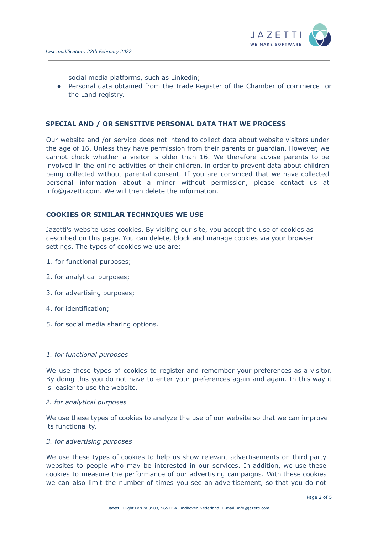

social media platforms, such as Linkedin;

● Personal data obtained from the Trade Register of the Chamber of commerce or the Land registry.

#### **SPECIAL AND / OR SENSITIVE PERSONAL DATA THAT WE PROCESS**

Our website and /or service does not intend to collect data about website visitors under the age of 16. Unless they have permission from their parents or guardian. However, we cannot check whether a visitor is older than 16. We therefore advise parents to be involved in the online activities of their children, in order to prevent data about children being collected without parental consent. If you are convinced that we have collected personal information about a minor without permission, please contact us at info@jazetti.com. We will then delete the information.

#### **COOKIES OR SIMILAR TECHNIQUES WE USE**

Jazetti's website uses cookies. By visiting our site, you accept the use of cookies as described on this page. You can delete, block and manage cookies via your browser settings. The types of cookies we use are:

- 1. for functional purposes;
- 2. for analytical purposes;
- 3. for advertising purposes;
- 4. for identification;
- 5. for social media sharing options.

#### *1. for functional purposes*

We use these types of cookies to register and remember your preferences as a visitor. By doing this you do not have to enter your preferences again and again. In this way it is easier to use the website.

#### *2. for analytical purposes*

We use these types of cookies to analyze the use of our website so that we can improve its functionality.

#### *3. for advertising purposes*

We use these types of cookies to help us show relevant advertisements on third party websites to people who may be interested in our services. In addition, we use these cookies to measure the performance of our advertising campaigns. With these cookies we can also limit the number of times you see an advertisement, so that you do not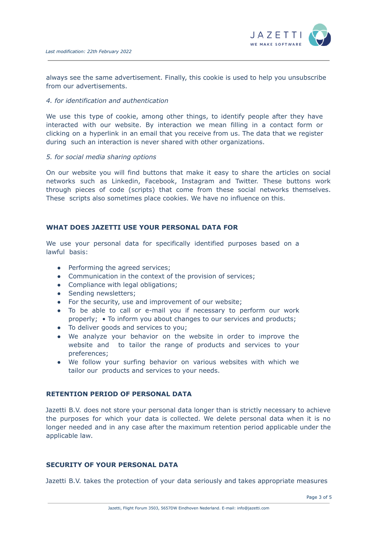

always see the same advertisement. Finally, this cookie is used to help you unsubscribe from our advertisements.

#### *4. for identification and authentication*

We use this type of cookie, among other things, to identify people after they have interacted with our website. By interaction we mean filling in a contact form or clicking on a hyperlink in an email that you receive from us. The data that we register during such an interaction is never shared with other organizations.

#### *5. for social media sharing options*

On our website you will find buttons that make it easy to share the articles on social networks such as Linkedin, Facebook, Instagram and Twitter. These buttons work through pieces of code (scripts) that come from these social networks themselves. These scripts also sometimes place cookies. We have no influence on this.

# **WHAT DOES JAZETTI USE YOUR PERSONAL DATA FOR**

We use your personal data for specifically identified purposes based on a lawful basis:

- Performing the agreed services;
- Communication in the context of the provision of services;
- Compliance with legal obligations;
- Sending newsletters;
- For the security, use and improvement of our website;
- To be able to call or e-mail you if necessary to perform our work properly; • To inform you about changes to our services and products;
- To deliver goods and services to you;
- We analyze your behavior on the website in order to improve the website and to tailor the range of products and services to your preferences;
- We follow your surfing behavior on various websites with which we tailor our products and services to your needs.

#### **RETENTION PERIOD OF PERSONAL DATA**

Jazetti B.V. does not store your personal data longer than is strictly necessary to achieve the purposes for which your data is collected. We delete personal data when it is no longer needed and in any case after the maximum retention period applicable under the applicable law.

# **SECURITY OF YOUR PERSONAL DATA**

Jazetti B.V. takes the protection of your data seriously and takes appropriate measures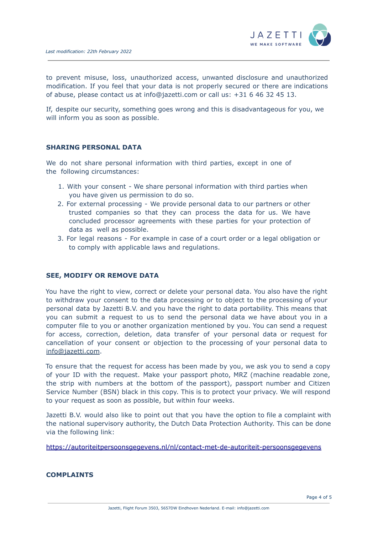

to prevent misuse, loss, unauthorized access, unwanted disclosure and unauthorized modification. If you feel that your data is not properly secured or there are indications of abuse, please contact us at info@jazetti.com or call us: +31 6 46 32 45 13.

If, despite our security, something goes wrong and this is disadvantageous for you, we will inform you as soon as possible.

#### **SHARING PERSONAL DATA**

We do not share personal information with third parties, except in one of the following circumstances:

- 1. With your consent We share personal information with third parties when you have given us permission to do so.
- 2. For external processing We provide personal data to our partners or other trusted companies so that they can process the data for us. We have concluded processor agreements with these parties for your protection of data as well as possible.
- 3. For legal reasons For example in case of a court order or a legal obligation or to comply with applicable laws and regulations.

#### **SEE, MODIFY OR REMOVE DATA**

You have the right to view, correct or delete your personal data. You also have the right to withdraw your consent to the data processing or to object to the processing of your personal data by Jazetti B.V. and you have the right to data portability. This means that you can submit a request to us to send the personal data we have about you in a computer file to you or another organization mentioned by you. You can send a request for access, correction, deletion, data transfer of your personal data or request for cancellation of your consent or objection to the processing of your personal data to info@jazetti.com.

To ensure that the request for access has been made by you, we ask you to send a copy of your ID with the request. Make your passport photo, MRZ (machine readable zone, the strip with numbers at the bottom of the passport), passport number and Citizen Service Number (BSN) black in this copy. This is to protect your privacy. We will respond to your request as soon as possible, but within four weeks.

Jazetti B.V. would also like to point out that you have the option to file a complaint with the national supervisory authority, the Dutch Data Protection Authority. This can be done via the following link:

https://autoriteitpersoonsgegevens.nl/nl/contact-met-de-autoriteit-persoonsgegevens

#### **COMPLAINTS**